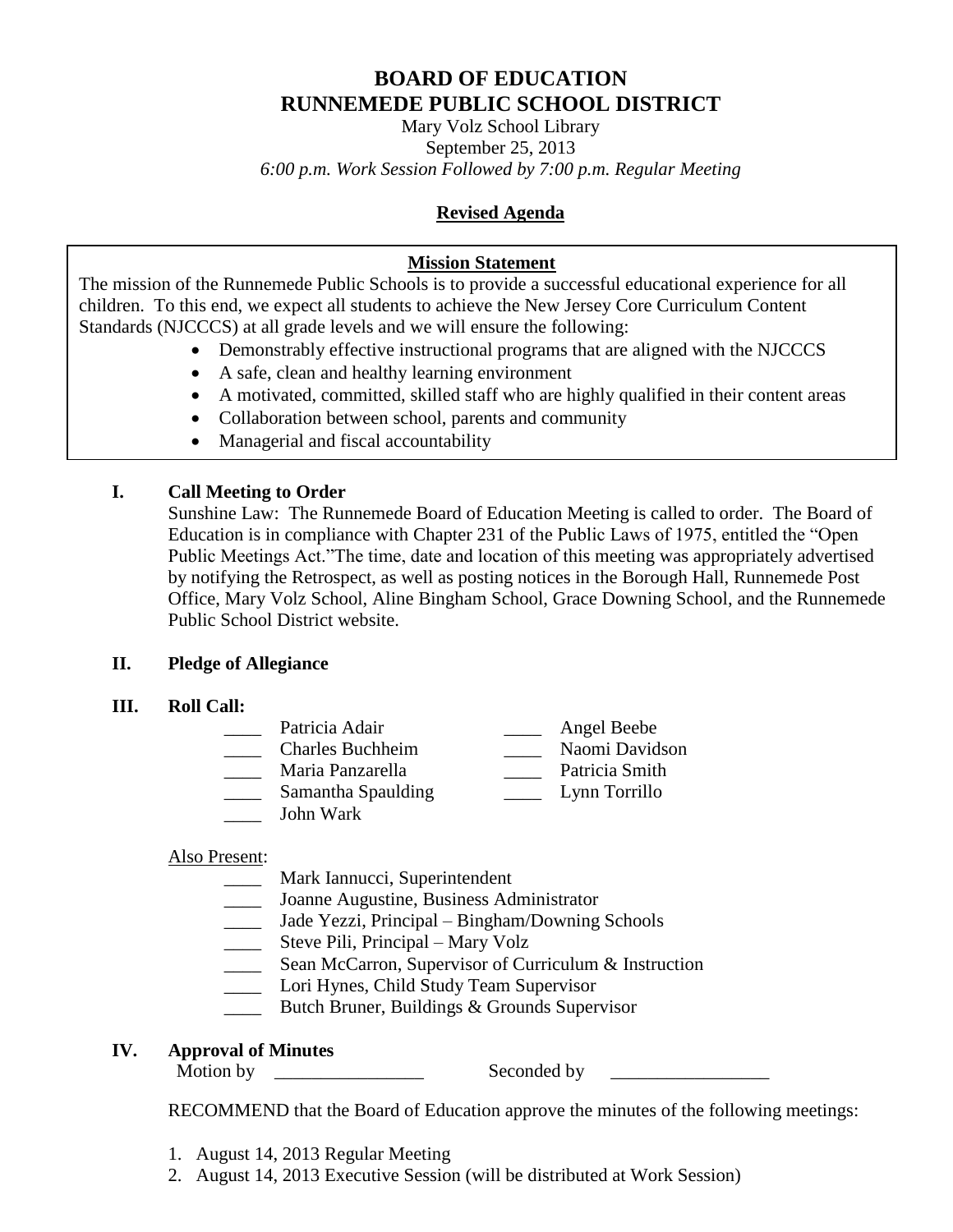# **BOARD OF EDUCATION RUNNEMEDE PUBLIC SCHOOL DISTRICT**

Mary Volz School Library September 25, 2013 *6:00 p.m. Work Session Followed by 7:00 p.m. Regular Meeting*

# **Revised Agenda**

# **Mission Statement**

The mission of the Runnemede Public Schools is to provide a successful educational experience for all children. To this end, we expect all students to achieve the New Jersey Core Curriculum Content Standards (NJCCCS) at all grade levels and we will ensure the following:

- Demonstrably effective instructional programs that are aligned with the NJCCCS
- A safe, clean and healthy learning environment
- A motivated, committed, skilled staff who are highly qualified in their content areas
- Collaboration between school, parents and community
- Managerial and fiscal accountability

# **I. Call Meeting to Order**

Sunshine Law: The Runnemede Board of Education Meeting is called to order. The Board of Education is in compliance with Chapter 231 of the Public Laws of 1975, entitled the "Open Public Meetings Act."The time, date and location of this meeting was appropriately advertised by notifying the Retrospect, as well as posting notices in the Borough Hall, Runnemede Post Office, Mary Volz School, Aline Bingham School, Grace Downing School, and the Runnemede Public School District website.

# **II. Pledge of Allegiance**

**III. Roll Call:**

| Patricia Adair          | Angel Beebe    |
|-------------------------|----------------|
| <b>Charles Buchheim</b> | Naomi Davidson |
| Maria Panzarella        | Patricia Smith |
| Samantha Spaulding      | Lynn Torrillo  |
| John Wark               |                |

# Also Present:

- \_\_\_\_ Mark Iannucci, Superintendent
- Joanne Augustine, Business Administrator
- \_\_\_\_ Jade Yezzi, Principal Bingham/Downing Schools
- Steve Pili, Principal Mary Volz
- Sean McCarron, Supervisor of Curriculum & Instruction
- Lori Hynes, Child Study Team Supervisor
- **EXECUTE:** Butch Bruner, Buildings & Grounds Supervisor

# **IV. Approval of Minutes**

Motion by \_\_\_\_\_\_\_\_\_\_\_\_\_\_\_\_ Seconded by \_\_\_\_\_\_\_\_\_\_\_\_\_\_\_\_\_

RECOMMEND that the Board of Education approve the minutes of the following meetings:

- 1. August 14, 2013 Regular Meeting
- 2. August 14, 2013 Executive Session (will be distributed at Work Session)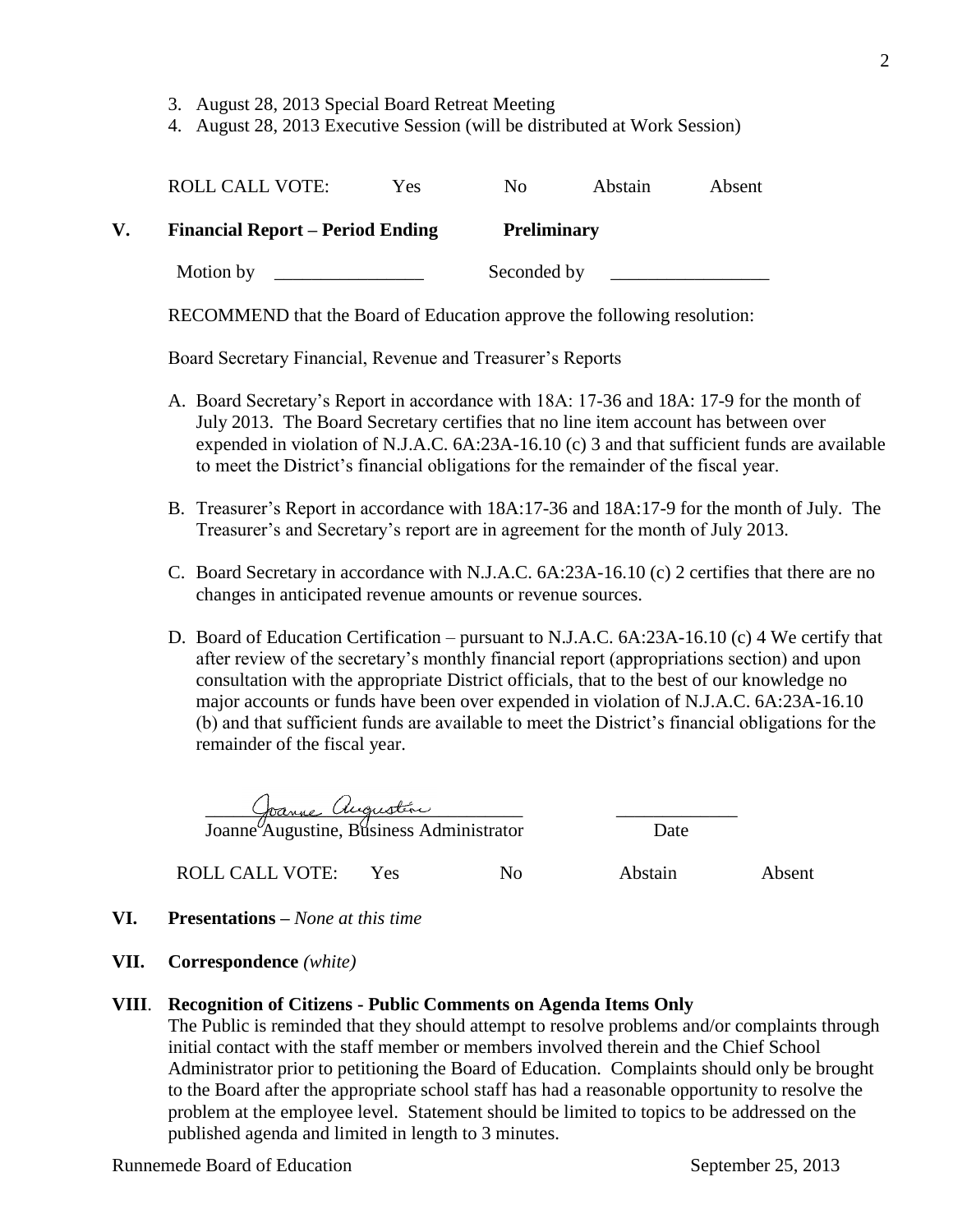- 3. August 28, 2013 Special Board Retreat Meeting
- 4. August 28, 2013 Executive Session (will be distributed at Work Session)

|    | <b>ROLL CALL VOTE:</b>                  | Yes. | No.                | <b>Abstain</b> | Absent |
|----|-----------------------------------------|------|--------------------|----------------|--------|
| V. | <b>Financial Report – Period Ending</b> |      | <b>Preliminary</b> |                |        |
|    | Motion by                               |      | Seconded by        |                |        |

RECOMMEND that the Board of Education approve the following resolution:

Board Secretary Financial, Revenue and Treasurer's Reports

- A. Board Secretary's Report in accordance with 18A: 17-36 and 18A: 17-9 for the month of July 2013. The Board Secretary certifies that no line item account has between over expended in violation of N.J.A.C. 6A:23A-16.10 (c) 3 and that sufficient funds are available to meet the District's financial obligations for the remainder of the fiscal year.
- B. Treasurer's Report in accordance with 18A:17-36 and 18A:17-9 for the month of July. The Treasurer's and Secretary's report are in agreement for the month of July 2013.
- C. Board Secretary in accordance with N.J.A.C. 6A:23A-16.10 (c) 2 certifies that there are no changes in anticipated revenue amounts or revenue sources.
- D. Board of Education Certification pursuant to N.J.A.C. 6A:23A-16.10 (c) 4 We certify that after review of the secretary's monthly financial report (appropriations section) and upon consultation with the appropriate District officials, that to the best of our knowledge no major accounts or funds have been over expended in violation of N.J.A.C. 6A:23A-16.10 (b) and that sufficient funds are available to meet the District's financial obligations for the remainder of the fiscal year.

 \_\_\_\_\_\_\_\_\_\_\_\_\_\_\_\_\_\_\_\_\_\_\_\_\_\_\_\_\_\_\_\_\_\_ \_\_\_\_\_\_\_\_\_\_\_\_\_ Joanne Augustine, Business Administrator Date

ROLL CALL VOTE: Yes No Abstain Absent

- **VI. Presentations –** *None at this time*
- **VII. Correspondence** *(white)*

## **VIII**. **Recognition of Citizens - Public Comments on Agenda Items Only**

The Public is reminded that they should attempt to resolve problems and/or complaints through initial contact with the staff member or members involved therein and the Chief School Administrator prior to petitioning the Board of Education. Complaints should only be brought to the Board after the appropriate school staff has had a reasonable opportunity to resolve the problem at the employee level. Statement should be limited to topics to be addressed on the published agenda and limited in length to 3 minutes.

Runnemede Board of Education September 25, 2013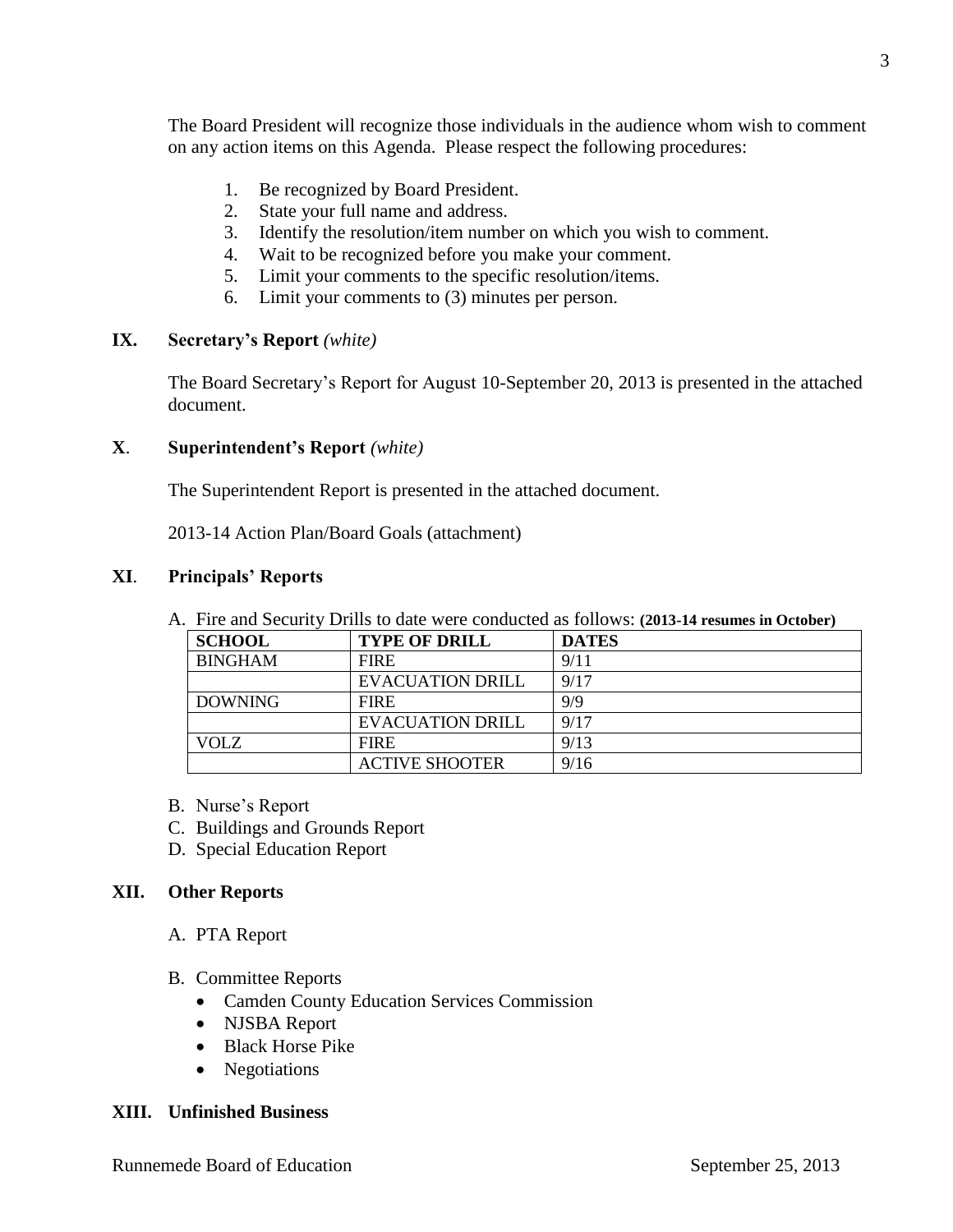The Board President will recognize those individuals in the audience whom wish to comment on any action items on this Agenda. Please respect the following procedures:

- 1. Be recognized by Board President.
- 2. State your full name and address.
- 3. Identify the resolution/item number on which you wish to comment.
- 4. Wait to be recognized before you make your comment.
- 5. Limit your comments to the specific resolution/items.
- 6. Limit your comments to (3) minutes per person.

## **IX. Secretary's Report** *(white)*

The Board Secretary's Report for August 10-September 20, 2013 is presented in the attached document.

## **X**. **Superintendent's Report** *(white)*

The Superintendent Report is presented in the attached document.

2013-14 Action Plan/Board Goals (attachment)

## **XI**. **Principals' Reports**

A. Fire and Security Drills to date were conducted as follows: **(2013-14 resumes in October)**

| <b>SCHOOL</b>  | <b>TYPE OF DRILL</b>    | <b>DATES</b> |
|----------------|-------------------------|--------------|
| <b>BINGHAM</b> | <b>FIRE</b>             | 9/11         |
|                | <b>EVACUATION DRILL</b> | 9/17         |
| <b>DOWNING</b> | <b>FIRE</b>             | 9/9          |
|                | <b>EVACUATION DRILL</b> | 9/17         |
| <b>VOLZ</b>    | <b>FIRE</b>             | 9/13         |
|                | <b>ACTIVE SHOOTER</b>   | 9/16         |

- B. Nurse's Report
- C. Buildings and Grounds Report
- D. Special Education Report

## **XII. Other Reports**

- A. PTA Report
- B. Committee Reports
	- Camden County Education Services Commission
	- NJSBA Report
	- Black Horse Pike
	- Negotiations

## **XIII. Unfinished Business**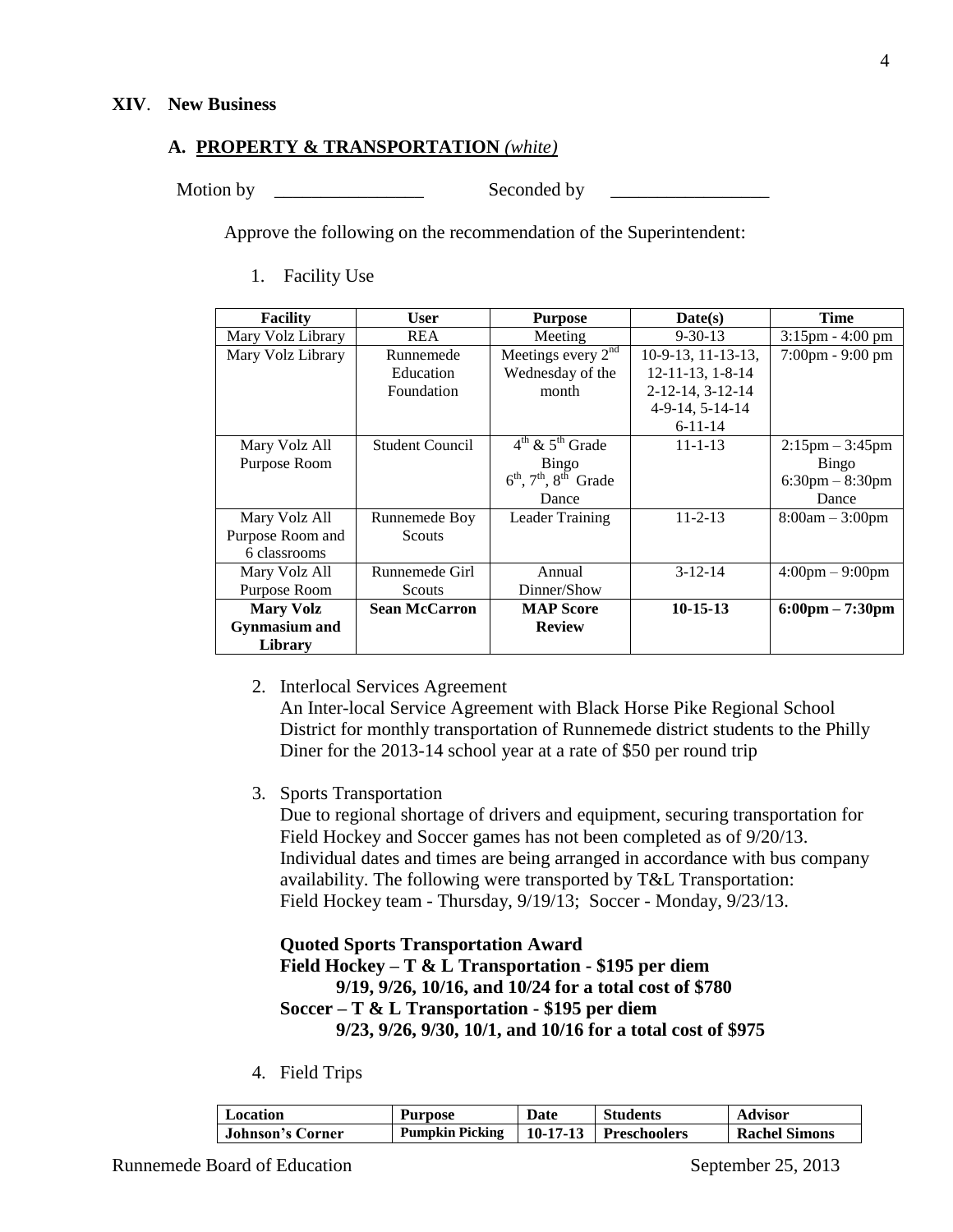#### **A. PROPERTY & TRANSPORTATION** *(white)*

Motion by \_\_\_\_\_\_\_\_\_\_\_\_\_\_\_\_ Seconded by \_\_\_\_\_\_\_\_\_\_\_\_\_\_\_\_\_

Approve the following on the recommendation of the Superintendent:

1. Facility Use

| <b>Facility</b>      | User                   | <b>Purpose</b>                                            | Date(s)                 | <b>Time</b>                       |
|----------------------|------------------------|-----------------------------------------------------------|-------------------------|-----------------------------------|
| Mary Volz Library    | <b>REA</b>             | Meeting                                                   | $9 - 30 - 13$           | $3:15$ pm - $4:00$ pm             |
| Mary Volz Library    | Runnemede              | Meetings every $2^{nd}$                                   | 10-9-13, 11-13-13,      | $7:00 \text{pm} - 9:00 \text{pm}$ |
|                      | Education              | Wednesday of the                                          | $12 - 11 - 13$ , 1-8-14 |                                   |
|                      | Foundation             | month                                                     | 2-12-14, 3-12-14        |                                   |
|                      |                        |                                                           | 4-9-14, 5-14-14         |                                   |
|                      |                        |                                                           | $6 - 11 - 14$           |                                   |
| Mary Volz All        | <b>Student Council</b> | $4^{th}$ & $5^{th}$ Grade                                 | $11 - 1 - 13$           | $2:15$ pm $-3:45$ pm              |
| Purpose Room         |                        | Bingo                                                     |                         | Bingo                             |
|                      |                        | $6^{\text{th}}$ , $7^{\text{th}}$ , $8^{\text{th}}$ Grade |                         | $6:30 \text{pm} - 8:30 \text{pm}$ |
|                      |                        | Dance                                                     |                         | Dance                             |
| Mary Volz All        | Runnemede Boy          | Leader Training                                           | $11 - 2 - 13$           | $8:00am - 3:00pm$                 |
| Purpose Room and     | Scouts                 |                                                           |                         |                                   |
| 6 classrooms         |                        |                                                           |                         |                                   |
| Mary Volz All        | Runnemede Girl         | Annual                                                    | $3-12-14$               | $4:00 \text{pm} - 9:00 \text{pm}$ |
| Purpose Room         | Scouts                 | Dinner/Show                                               |                         |                                   |
| <b>Mary Volz</b>     | <b>Sean McCarron</b>   | <b>MAP Score</b>                                          | $10-15-13$              | $6:00 \text{pm} - 7:30 \text{pm}$ |
| <b>Gynmasium</b> and |                        | <b>Review</b>                                             |                         |                                   |
| Library              |                        |                                                           |                         |                                   |

2. Interlocal Services Agreement

An Inter-local Service Agreement with Black Horse Pike Regional School District for monthly transportation of Runnemede district students to the Philly Diner for the 2013-14 school year at a rate of \$50 per round trip

3. Sports Transportation

Due to regional shortage of drivers and equipment, securing transportation for Field Hockey and Soccer games has not been completed as of 9/20/13. Individual dates and times are being arranged in accordance with bus company availability. The following were transported by T&L Transportation: Field Hockey team - Thursday, 9/19/13; Soccer - Monday, 9/23/13.

#### **Quoted Sports Transportation Award Field Hockey – T & L Transportation - \$195 per diem 9/19, 9/26, 10/16, and 10/24 for a total cost of \$780 Soccer – T & L Transportation - \$195 per diem 9/23, 9/26, 9/30, 10/1, and 10/16 for a total cost of \$975**

4. Field Trips

| Location         | <b>Purpose</b>         | Date | <b>Students</b>                       | <b>Advisor</b>       |
|------------------|------------------------|------|---------------------------------------|----------------------|
| Johnson's Corner | <b>Pumpkin Picking</b> |      | $\vert$ 10-17-13 $\vert$ Preschoolers | <b>Rachel Simons</b> |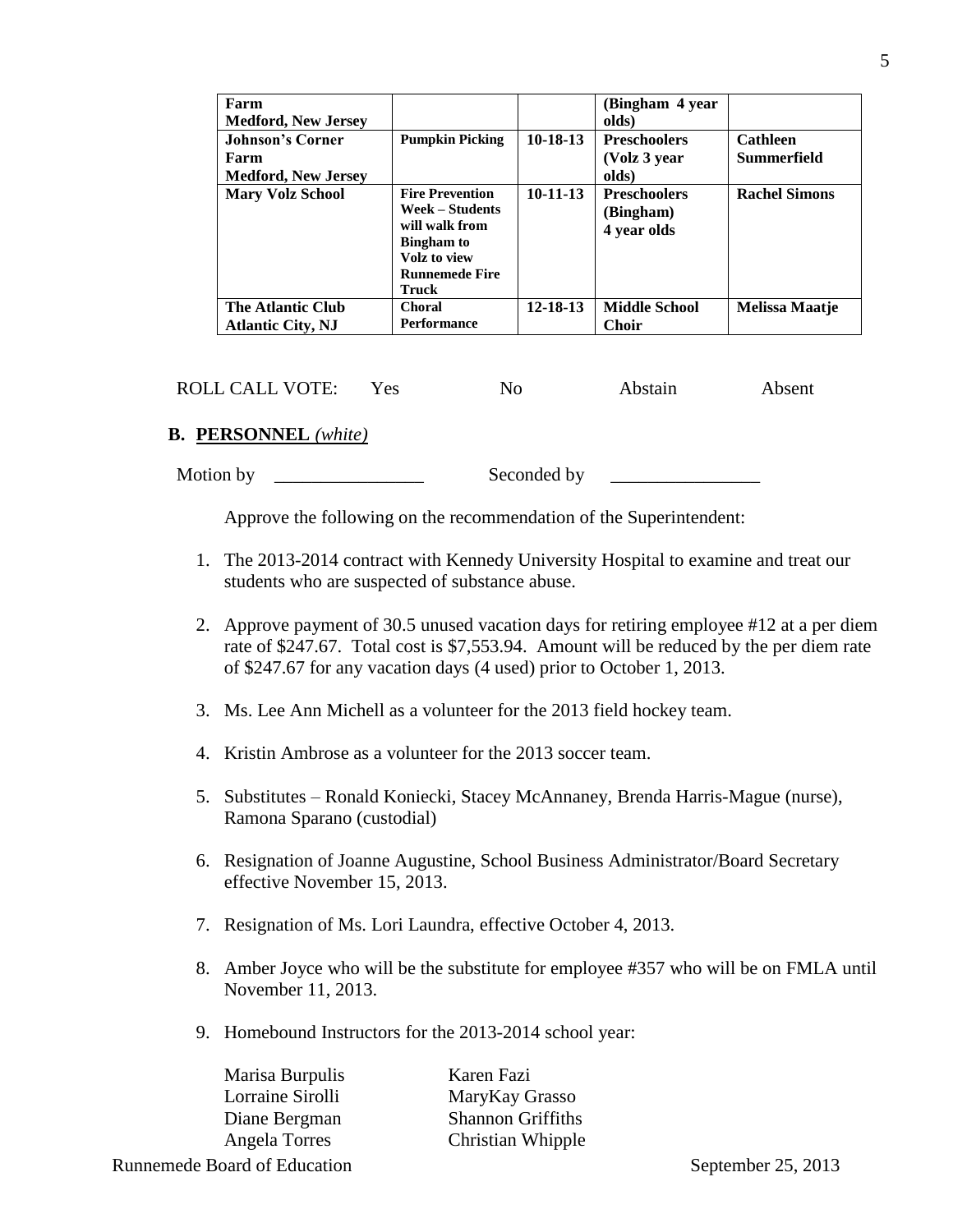| Farm<br><b>Medford, New Jersey</b>                            |                                                                                                                                    |                | (Bingham 4 year)<br>olds)                       |                                |
|---------------------------------------------------------------|------------------------------------------------------------------------------------------------------------------------------------|----------------|-------------------------------------------------|--------------------------------|
| <b>Johnson's Corner</b><br>Farm<br><b>Medford, New Jersey</b> | <b>Pumpkin Picking</b>                                                                                                             | $10-18-13$     | <b>Preschoolers</b><br>(Volz 3 year)<br>olds)   | <b>Cathleen</b><br>Summerfield |
| <b>Mary Volz School</b>                                       | <b>Fire Prevention</b><br>Week – Students<br>will walk from<br><b>Bingham</b> to<br>Volz to view<br><b>Runnemede Fire</b><br>Truck | $10-11-13$     | <b>Preschoolers</b><br>(Bingham)<br>4 year olds | <b>Rachel Simons</b>           |
| The Atlantic Club<br><b>Atlantic City, NJ</b>                 | <b>Choral</b><br><b>Performance</b>                                                                                                | $12 - 18 - 13$ | <b>Middle School</b><br><b>Choir</b>            | <b>Melissa Maatje</b>          |

ROLL CALL VOTE: Yes No Abstain Absent

## **B. PERSONNEL** *(white)*

Motion by \_\_\_\_\_\_\_\_\_\_\_\_\_\_\_\_ Seconded by \_\_\_\_\_\_\_\_\_\_\_\_\_\_\_\_

Approve the following on the recommendation of the Superintendent:

- 1. The 2013-2014 contract with Kennedy University Hospital to examine and treat our students who are suspected of substance abuse.
- 2. Approve payment of 30.5 unused vacation days for retiring employee #12 at a per diem rate of \$247.67. Total cost is \$7,553.94. Amount will be reduced by the per diem rate of \$247.67 for any vacation days (4 used) prior to October 1, 2013.
- 3. Ms. Lee Ann Michell as a volunteer for the 2013 field hockey team.
- 4. Kristin Ambrose as a volunteer for the 2013 soccer team.
- 5. Substitutes Ronald Koniecki, Stacey McAnnaney, Brenda Harris-Mague (nurse), Ramona Sparano (custodial)
- 6. Resignation of Joanne Augustine, School Business Administrator/Board Secretary effective November 15, 2013.
- 7. Resignation of Ms. Lori Laundra, effective October 4, 2013.
- 8. Amber Joyce who will be the substitute for employee #357 who will be on FMLA until November 11, 2013.
- 9. Homebound Instructors for the 2013-2014 school year:

Marisa Burpulis Karen Fazi

Lorraine Sirolli MaryKay Grasso Diane Bergman Shannon Griffiths Angela Torres Christian Whipple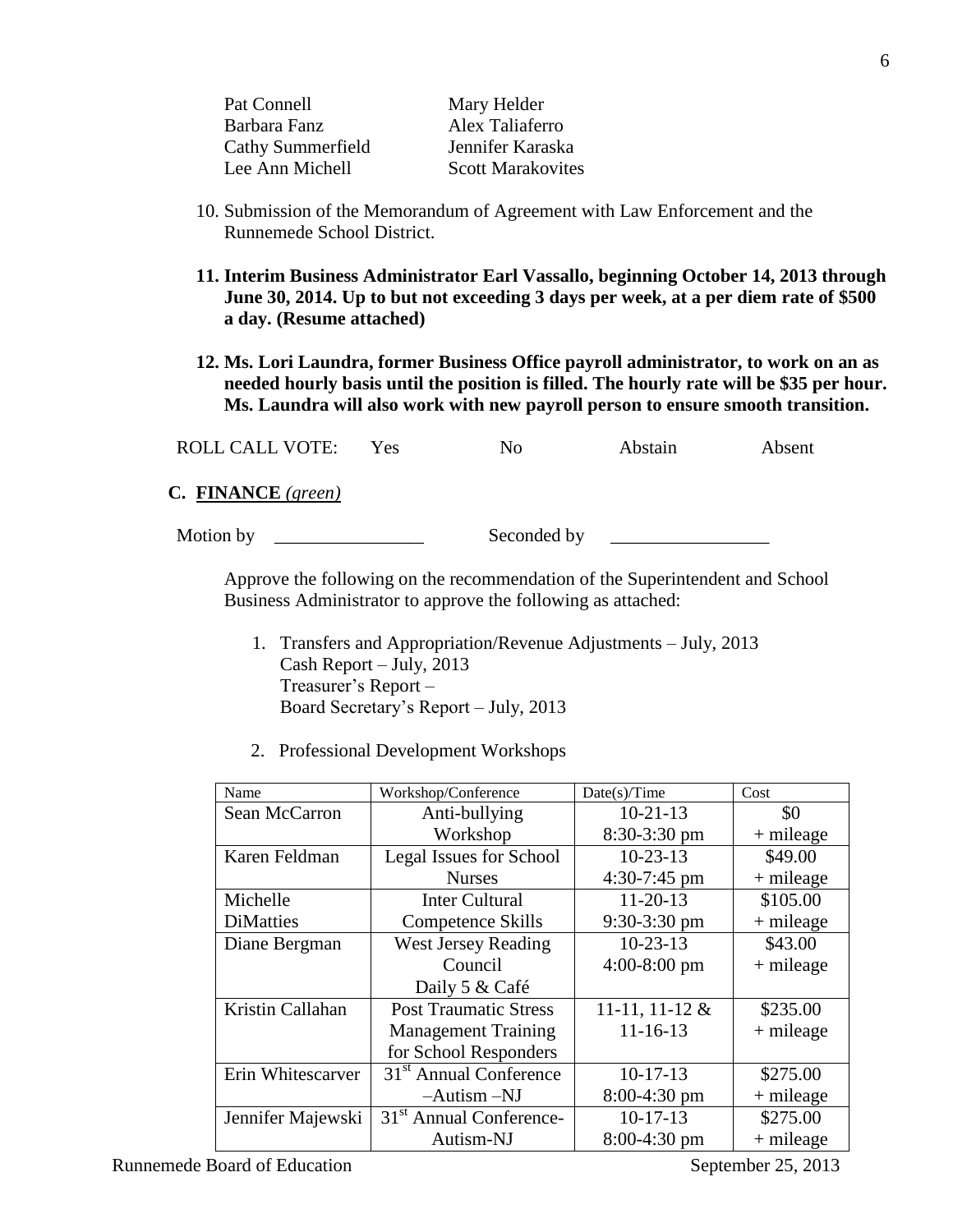| Pat Connell       | Mary Helder              |
|-------------------|--------------------------|
| Barbara Fanz      | Alex Taliaferro          |
| Cathy Summerfield | Jennifer Karaska         |
| Lee Ann Michell   | <b>Scott Marakovites</b> |

- 10. Submission of the Memorandum of Agreement with Law Enforcement and the Runnemede School District.
- **11. Interim Business Administrator Earl Vassallo, beginning October 14, 2013 through June 30, 2014. Up to but not exceeding 3 days per week, at a per diem rate of \$500 a day. (Resume attached)**
- **12. Ms. Lori Laundra, former Business Office payroll administrator, to work on an as needed hourly basis until the position is filled. The hourly rate will be \$35 per hour. Ms. Laundra will also work with new payroll person to ensure smooth transition.**

|  | <b>ROLL CALL VOTE:</b> |  |  | Abstain | Absent |
|--|------------------------|--|--|---------|--------|
|--|------------------------|--|--|---------|--------|

**C. FINANCE** *(green)*

Motion by \_\_\_\_\_\_\_\_\_\_\_\_\_\_\_\_ Seconded by \_\_\_\_\_\_\_\_\_\_\_\_\_\_\_\_\_

Approve the following on the recommendation of the Superintendent and School Business Administrator to approve the following as attached:

- 1. Transfers and Appropriation/Revenue Adjustments July, 2013 Cash Report – July, 2013 Treasurer's Report – Board Secretary's Report – July, 2013
- 2. Professional Development Workshops

| Name              | Workshop/Conference                 | Date(s)/Time     | Cost        |
|-------------------|-------------------------------------|------------------|-------------|
| Sean McCarron     | Anti-bullying                       | $10-21-13$       | \$0         |
|                   | Workshop                            | $8:30-3:30$ pm   | $+$ mileage |
| Karen Feldman     | Legal Issues for School             | $10-23-13$       | \$49.00     |
|                   | <b>Nurses</b>                       | $4:30-7:45$ pm   | $+$ mileage |
| Michelle          | <b>Inter Cultural</b>               | $11-20-13$       | \$105.00    |
| <b>DiMatties</b>  | <b>Competence Skills</b>            | $9:30-3:30$ pm   | $+$ mileage |
| Diane Bergman     | <b>West Jersey Reading</b>          | $10-23-13$       | \$43.00     |
|                   | Council                             | $4:00-8:00$ pm   | $+$ mileage |
|                   | Daily 5 & Café                      |                  |             |
| Kristin Callahan  | <b>Post Traumatic Stress</b>        | 11-11, 11-12 $&$ | \$235.00    |
|                   | <b>Management Training</b>          | $11 - 16 - 13$   | $+$ mileage |
|                   | for School Responders               |                  |             |
| Erin Whitescarver | 31 <sup>st</sup> Annual Conference  | $10-17-13$       | \$275.00    |
|                   | $-Autism - NJ$                      | $8:00-4:30$ pm   | $+$ mileage |
| Jennifer Majewski | 31 <sup>st</sup> Annual Conference- | $10-17-13$       | \$275.00    |
|                   | Autism-NJ                           | $8:00-4:30$ pm   | $+$ mileage |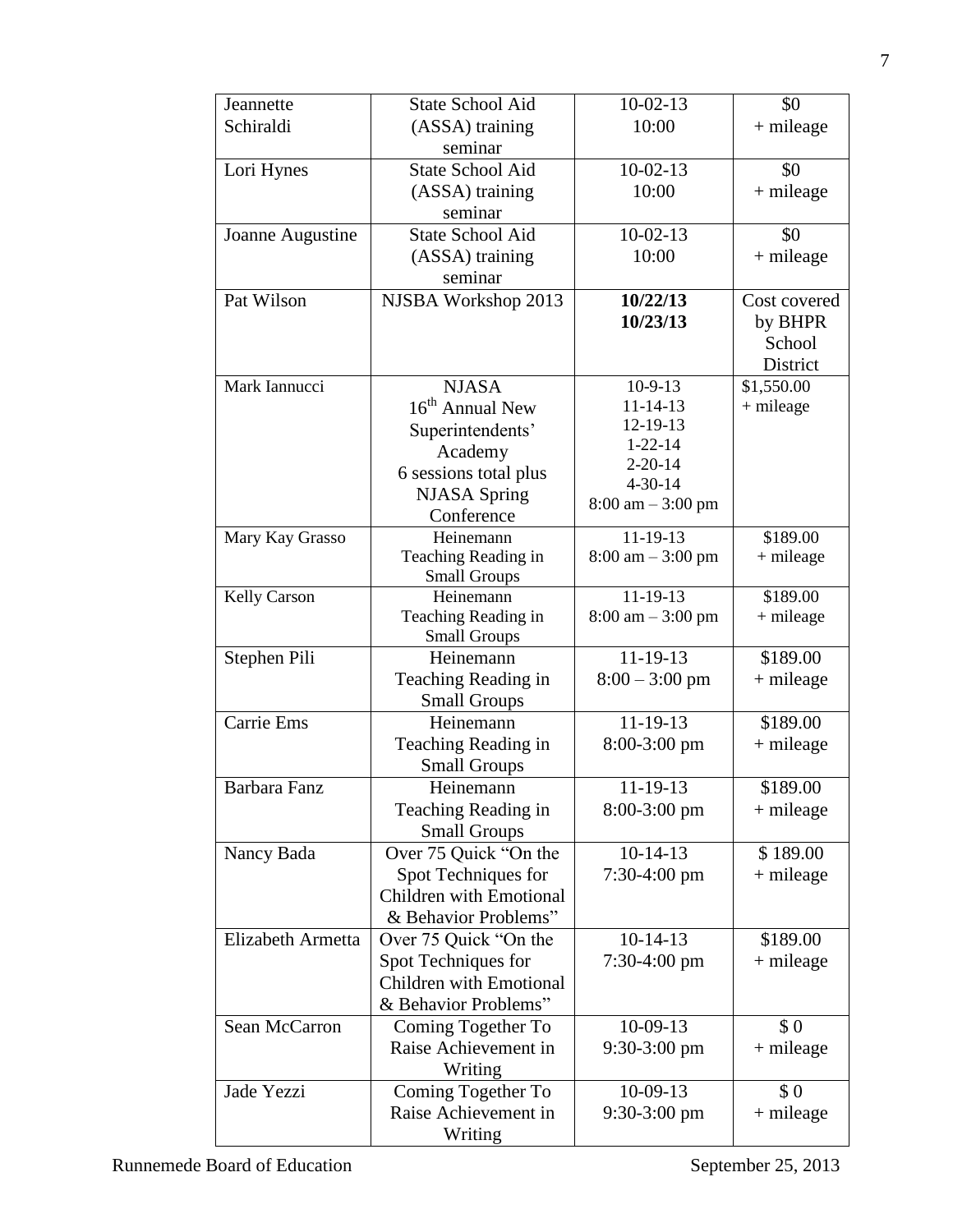| Jeannette           | <b>State School Aid</b>                      | $10-02-13$                          | \$0          |
|---------------------|----------------------------------------------|-------------------------------------|--------------|
| Schiraldi           | (ASSA) training                              | 10:00                               | $+$ mileage  |
|                     | seminar                                      |                                     |              |
| Lori Hynes          | <b>State School Aid</b>                      | $10-02-13$                          | \$0          |
|                     | (ASSA) training                              | 10:00                               | $+$ mileage  |
|                     | seminar                                      |                                     |              |
| Joanne Augustine    | <b>State School Aid</b>                      | $10-02-13$                          | \$0          |
|                     | (ASSA) training                              | 10:00                               | $+$ mileage  |
|                     | seminar                                      |                                     |              |
| Pat Wilson          | NJSBA Workshop 2013                          | 10/22/13                            | Cost covered |
|                     |                                              | 10/23/13                            | by BHPR      |
|                     |                                              |                                     | School       |
|                     |                                              |                                     | District     |
| Mark Iannucci       | <b>NJASA</b>                                 | $10-9-13$                           | \$1,550.00   |
|                     | $16th$ Annual New                            | $11 - 14 - 13$                      | + mileage    |
|                     | Superintendents'                             | 12-19-13                            |              |
|                     | Academy                                      | $1 - 22 - 14$                       |              |
|                     | 6 sessions total plus                        | $2 - 20 - 14$                       |              |
|                     | <b>NJASA</b> Spring                          | $4 - 30 - 14$                       |              |
|                     | Conference                                   | $8:00 \text{ am} - 3:00 \text{ pm}$ |              |
| Mary Kay Grasso     | Heinemann                                    | $11-19-13$                          | \$189.00     |
|                     | Teaching Reading in                          | $8:00 \text{ am} - 3:00 \text{ pm}$ | $+$ mileage  |
|                     | <b>Small Groups</b>                          |                                     |              |
| <b>Kelly Carson</b> | Heinemann                                    | $11-19-13$                          | \$189.00     |
|                     | Teaching Reading in                          | $8:00 \text{ am} - 3:00 \text{ pm}$ | $+$ mileage  |
|                     | <b>Small Groups</b>                          |                                     |              |
| Stephen Pili        | Heinemann                                    | $11 - 19 - 13$                      | \$189.00     |
|                     | Teaching Reading in                          | $8:00 - 3:00$ pm                    | $+$ mileage  |
| Carrie Ems          | <b>Small Groups</b>                          | $11-19-13$                          |              |
|                     | Heinemann                                    |                                     | \$189.00     |
|                     | Teaching Reading in                          | $8:00-3:00$ pm                      | $+$ mileage  |
| Barbara Fanz        | <b>Small Groups</b><br>Heinemann             | 11-19-13                            | \$189.00     |
|                     |                                              |                                     |              |
|                     | Teaching Reading in                          | $8:00-3:00$ pm                      | $+$ mileage  |
| Nancy Bada          | <b>Small Groups</b><br>Over 75 Quick "On the | $10-14-13$                          | \$189.00     |
|                     | Spot Techniques for                          | $7:30-4:00$ pm                      | $+$ mileage  |
|                     | Children with Emotional                      |                                     |              |
|                     | & Behavior Problems"                         |                                     |              |
| Elizabeth Armetta   | Over 75 Quick "On the                        | $10-14-13$                          | \$189.00     |
|                     | Spot Techniques for                          | $7:30-4:00$ pm                      | $+$ mileage  |
|                     | <b>Children with Emotional</b>               |                                     |              |
|                     | & Behavior Problems"                         |                                     |              |
| Sean McCarron       | Coming Together To                           | $10-09-13$                          | \$0          |
|                     | Raise Achievement in                         | $9:30-3:00$ pm                      | $+$ mileage  |
|                     | Writing                                      |                                     |              |
| Jade Yezzi          | Coming Together To                           | $10-09-13$                          | \$0          |
|                     | Raise Achievement in                         | $9:30-3:00$ pm                      | $+$ mileage  |
|                     |                                              |                                     |              |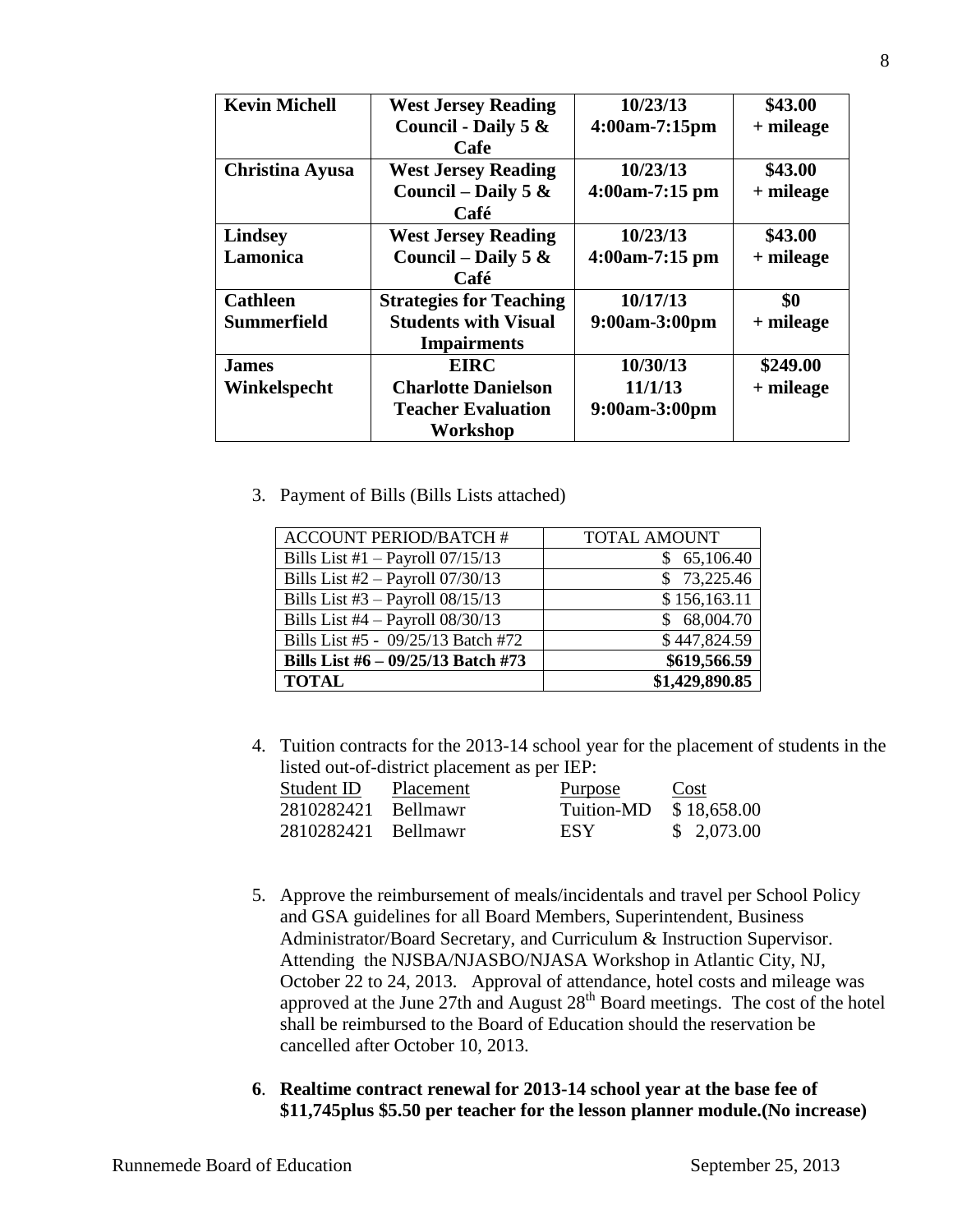| <b>Kevin Michell</b>   | <b>West Jersey Reading</b>     | 10/23/13         | \$43.00     |
|------------------------|--------------------------------|------------------|-------------|
|                        | Council - Daily 5 &            | $4:00am-7:15pm$  | $+$ mileage |
|                        | <b>Cafe</b>                    |                  |             |
| <b>Christina Ayusa</b> | <b>West Jersey Reading</b>     | 10/23/13         | \$43.00     |
|                        | Council – Daily 5 $\&$         | $4:00am-7:15 pm$ | $+$ mileage |
|                        | Café                           |                  |             |
| <b>Lindsey</b>         | <b>West Jersey Reading</b>     | 10/23/13         | \$43.00     |
| Lamonica               | Council – Daily 5 $\&$         | $4:00am-7:15 pm$ | $+$ mileage |
|                        | Café                           |                  |             |
| <b>Cathleen</b>        | <b>Strategies for Teaching</b> | 10/17/13         | \$0         |
| Summerfield            | <b>Students with Visual</b>    | 9:00am-3:00pm    | $+$ mileage |
|                        | <b>Impairments</b>             |                  |             |
| <b>James</b>           | <b>EIRC</b>                    | 10/30/13         | \$249.00    |
| Winkelspecht           | <b>Charlotte Danielson</b>     | 11/1/13          | $+$ mileage |
|                        | <b>Teacher Evaluation</b>      | 9:00am-3:00pm    |             |
|                        | Workshop                       |                  |             |

3. Payment of Bills (Bills Lists attached)

| <b>ACCOUNT PERIOD/BATCH#</b>         | <b>TOTAL AMOUNT</b> |
|--------------------------------------|---------------------|
| Bills List #1 $-$ Payroll 07/15/13   | 65,106.40           |
| Bills List $#2$ – Payroll 07/30/13   | \$73,225.46         |
| Bills List $#3$ – Payroll $08/15/13$ | \$156,163.11        |
| Bills List $#4 - Payroll$ 08/30/13   | \$68,004.70         |
| Bills List #5 - 09/25/13 Batch #72   | \$447,824.59        |
| Bills List #6 - 09/25/13 Batch #73   | \$619,566.59        |
| <b>TOTAL</b>                         | \$1,429,890.85      |

4. Tuition contracts for the 2013-14 school year for the placement of students in the listed out-of-district placement as per IEP:

| Student ID          | Placement | <u>Purpose</u> | Cost        |
|---------------------|-----------|----------------|-------------|
| 2810282421 Bellmawr |           | Tuition-MD     | \$18,658.00 |
| 2810282421 Bellmawr |           | ESY.           | \$2,073.00  |

- 5. Approve the reimbursement of meals/incidentals and travel per School Policy and GSA guidelines for all Board Members, Superintendent, Business Administrator/Board Secretary, and Curriculum & Instruction Supervisor. Attending the NJSBA/NJASBO/NJASA Workshop in Atlantic City, NJ, October 22 to 24, 2013. Approval of attendance, hotel costs and mileage was approved at the June 27th and August  $28<sup>th</sup>$  Board meetings. The cost of the hotel shall be reimbursed to the Board of Education should the reservation be cancelled after October 10, 2013.
- **6**. **Realtime contract renewal for 2013-14 school year at the base fee of \$11,745plus \$5.50 per teacher for the lesson planner module.(No increase)**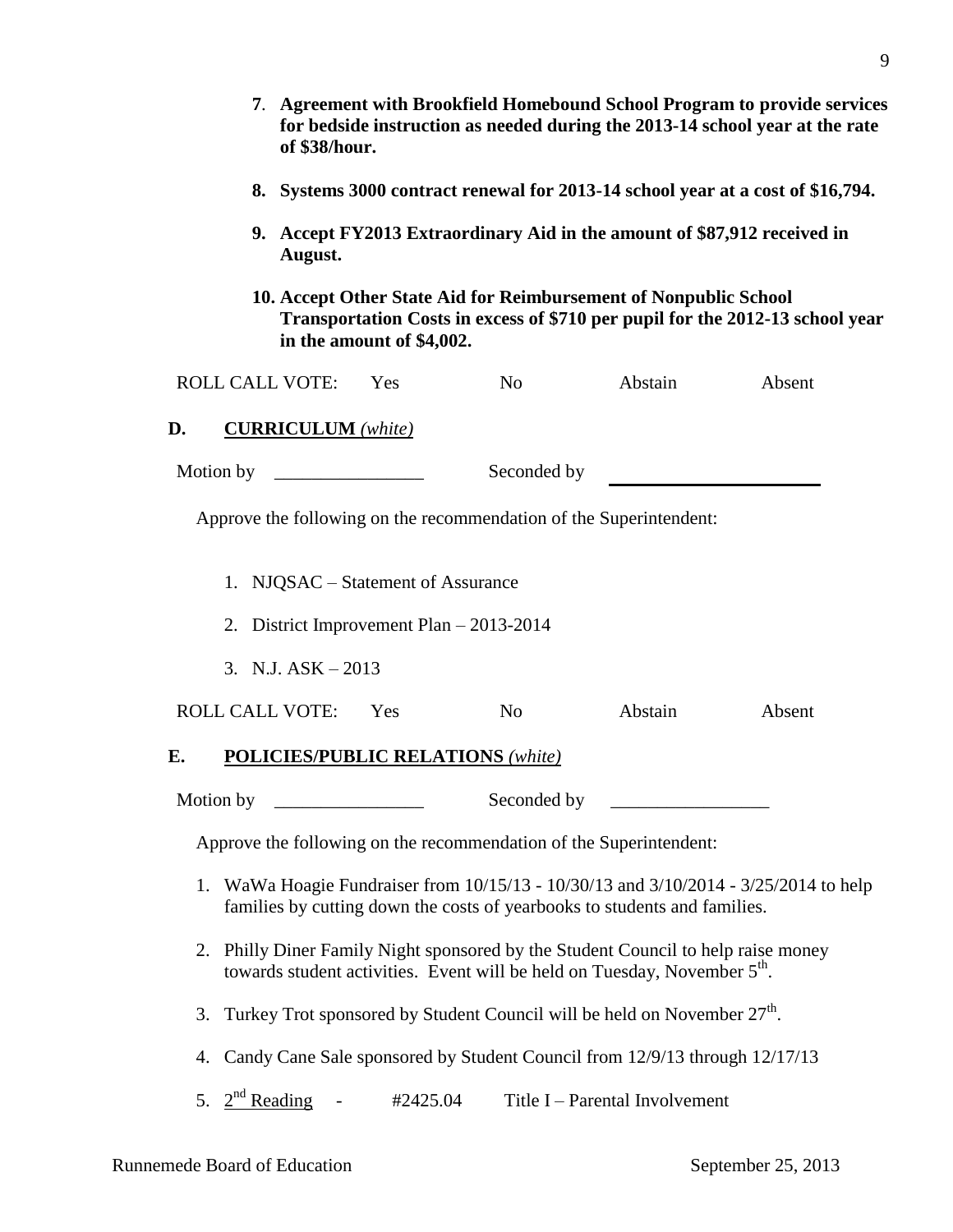|                                                                                                                                                                                | 7. Agreement with Brookfield Homebound School Program to provide services<br>for bedside instruction as needed during the 2013-14 school year at the rate<br>of \$38/hour. |                           |          |                                                                           |                                               |                                                                                   |
|--------------------------------------------------------------------------------------------------------------------------------------------------------------------------------|----------------------------------------------------------------------------------------------------------------------------------------------------------------------------|---------------------------|----------|---------------------------------------------------------------------------|-----------------------------------------------|-----------------------------------------------------------------------------------|
|                                                                                                                                                                                | 8. Systems 3000 contract renewal for 2013-14 school year at a cost of \$16,794.                                                                                            |                           |          |                                                                           |                                               |                                                                                   |
|                                                                                                                                                                                | 9. Accept FY2013 Extraordinary Aid in the amount of \$87,912 received in<br>August.                                                                                        |                           |          |                                                                           |                                               |                                                                                   |
| 10. Accept Other State Aid for Reimbursement of Nonpublic School<br>Transportation Costs in excess of \$710 per pupil for the 2012-13 school year<br>in the amount of \$4,002. |                                                                                                                                                                            |                           |          |                                                                           |                                               |                                                                                   |
|                                                                                                                                                                                |                                                                                                                                                                            | <b>ROLL CALL VOTE:</b>    | Yes      | No                                                                        | Abstain                                       | Absent                                                                            |
| D.                                                                                                                                                                             |                                                                                                                                                                            | <b>CURRICULUM</b> (white) |          |                                                                           |                                               |                                                                                   |
|                                                                                                                                                                                | Motion by                                                                                                                                                                  |                           |          | Seconded by                                                               |                                               |                                                                                   |
| Approve the following on the recommendation of the Superintendent:<br>1. NJQSAC – Statement of Assurance                                                                       |                                                                                                                                                                            |                           |          |                                                                           |                                               |                                                                                   |
|                                                                                                                                                                                |                                                                                                                                                                            |                           |          | 2. District Improvement Plan $-2013-2014$                                 |                                               |                                                                                   |
|                                                                                                                                                                                | 3. N.J. $ASK - 2013$                                                                                                                                                       |                           |          |                                                                           |                                               |                                                                                   |
|                                                                                                                                                                                |                                                                                                                                                                            | <b>ROLL CALL VOTE:</b>    | Yes      | N <sub>o</sub>                                                            | Abstain                                       | Absent                                                                            |
| E.                                                                                                                                                                             |                                                                                                                                                                            |                           |          | <b>POLICIES/PUBLIC RELATIONS (white)</b>                                  |                                               |                                                                                   |
|                                                                                                                                                                                | Motion by                                                                                                                                                                  |                           |          | Seconded by                                                               | <u> 1980 - Andrea Andrew Maria (h. 1980).</u> |                                                                                   |
|                                                                                                                                                                                |                                                                                                                                                                            |                           |          | Approve the following on the recommendation of the Superintendent:        |                                               |                                                                                   |
| 1.                                                                                                                                                                             |                                                                                                                                                                            |                           |          | families by cutting down the costs of yearbooks to students and families. |                                               | WaWa Hoagie Fundraiser from 10/15/13 - 10/30/13 and 3/10/2014 - 3/25/2014 to help |
| 2.                                                                                                                                                                             | Philly Diner Family Night sponsored by the Student Council to help raise money<br>towards student activities. Event will be held on Tuesday, November 5 <sup>th</sup> .    |                           |          |                                                                           |                                               |                                                                                   |
| 3.                                                                                                                                                                             | Turkey Trot sponsored by Student Council will be held on November 27 <sup>th</sup> .                                                                                       |                           |          |                                                                           |                                               |                                                                                   |
| 4.                                                                                                                                                                             | Candy Cane Sale sponsored by Student Council from 12/9/13 through 12/17/13                                                                                                 |                           |          |                                                                           |                                               |                                                                                   |
| 5.                                                                                                                                                                             | $2nd$ Reading                                                                                                                                                              |                           | #2425.04 |                                                                           | Title I – Parental Involvement                |                                                                                   |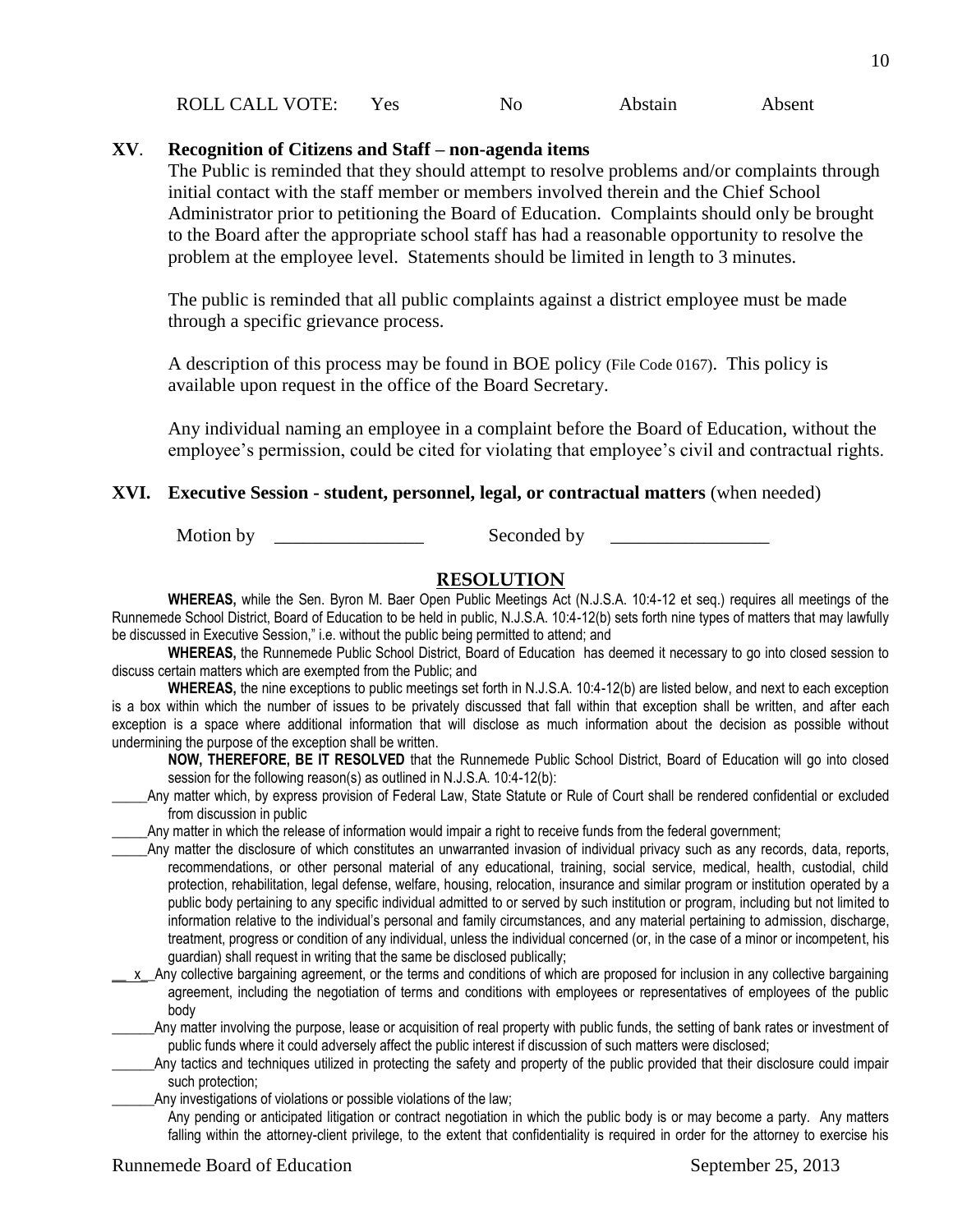| ROLL CALL VOTE:<br>Abstain<br>Yes<br>N <sub>0</sub> | Absent |
|-----------------------------------------------------|--------|
|-----------------------------------------------------|--------|

#### **XV**. **Recognition of Citizens and Staff – non-agenda items**

The Public is reminded that they should attempt to resolve problems and/or complaints through initial contact with the staff member or members involved therein and the Chief School Administrator prior to petitioning the Board of Education. Complaints should only be brought to the Board after the appropriate school staff has had a reasonable opportunity to resolve the problem at the employee level. Statements should be limited in length to 3 minutes.

The public is reminded that all public complaints against a district employee must be made through a specific grievance process.

A description of this process may be found in BOE policy (File Code 0167). This policy is available upon request in the office of the Board Secretary.

Any individual naming an employee in a complaint before the Board of Education, without the employee's permission, could be cited for violating that employee's civil and contractual rights.

#### **XVI. Executive Session - student, personnel, legal, or contractual matters** (when needed)

Motion by \_\_\_\_\_\_\_\_\_\_\_\_\_\_\_\_ Seconded by \_\_\_\_\_\_\_\_\_\_\_\_\_\_\_\_\_

#### **RESOLUTION**

**WHEREAS,** while the Sen. Byron M. Baer Open Public Meetings Act (N.J.S.A. 10:4-12 et seq.) requires all meetings of the Runnemede School District, Board of Education to be held in public, N.J.S.A. 10:4-12(b) sets forth nine types of matters that may lawfully be discussed in Executive Session," i.e. without the public being permitted to attend; and

**WHEREAS,** the Runnemede Public School District, Board of Education has deemed it necessary to go into closed session to discuss certain matters which are exempted from the Public; and

**WHEREAS,** the nine exceptions to public meetings set forth in N.J.S.A. 10:4-12(b) are listed below, and next to each exception is a box within which the number of issues to be privately discussed that fall within that exception shall be written, and after each exception is a space where additional information that will disclose as much information about the decision as possible without undermining the purpose of the exception shall be written.

**NOW, THEREFORE, BE IT RESOLVED** that the Runnemede Public School District, Board of Education will go into closed session for the following reason(s) as outlined in N.J.S.A. 10:4-12(b):

Any matter which, by express provision of Federal Law, State Statute or Rule of Court shall be rendered confidential or excluded from discussion in public

Any matter in which the release of information would impair a right to receive funds from the federal government;

- \_\_\_\_\_Any matter the disclosure of which constitutes an unwarranted invasion of individual privacy such as any records, data, reports, recommendations, or other personal material of any educational, training, social service, medical, health, custodial, child protection, rehabilitation, legal defense, welfare, housing, relocation, insurance and similar program or institution operated by a public body pertaining to any specific individual admitted to or served by such institution or program, including but not limited to information relative to the individual's personal and family circumstances, and any material pertaining to admission, discharge, treatment, progress or condition of any individual, unless the individual concerned (or, in the case of a minor or incompetent, his guardian) shall request in writing that the same be disclosed publically;
- $x$  Any collective bargaining agreement, or the terms and conditions of which are proposed for inclusion in any collective bargaining agreement, including the negotiation of terms and conditions with employees or representatives of employees of the public body

\_\_\_\_\_\_Any matter involving the purpose, lease or acquisition of real property with public funds, the setting of bank rates or investment of public funds where it could adversely affect the public interest if discussion of such matters were disclosed;

Any tactics and techniques utilized in protecting the safety and property of the public provided that their disclosure could impair such protection;

Any investigations of violations or possible violations of the law;

Any pending or anticipated litigation or contract negotiation in which the public body is or may become a party. Any matters falling within the attorney-client privilege, to the extent that confidentiality is required in order for the attorney to exercise his